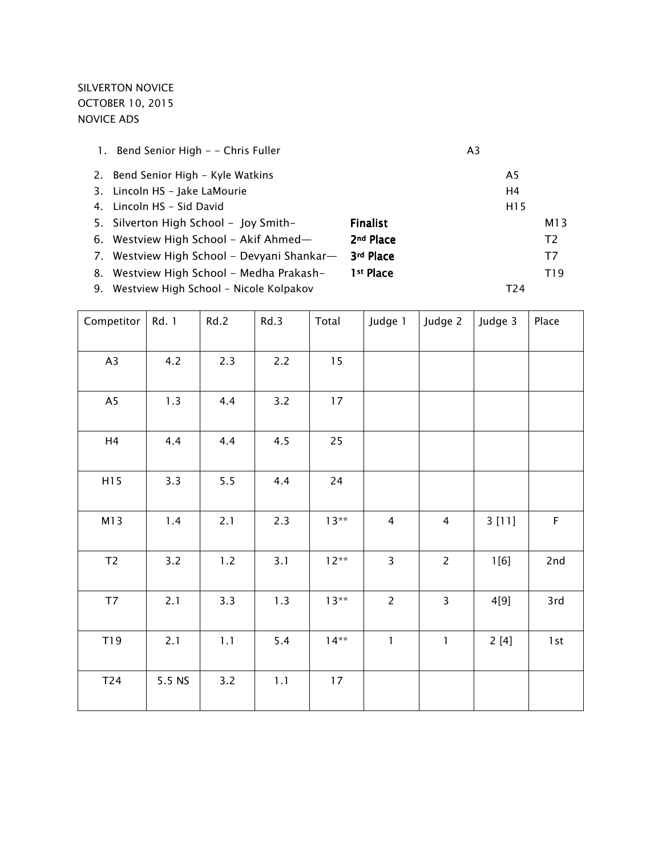# SILVERTON NOVICE OCTOBER 10, 2015 NOVICE ADS

| 1. | Bend Senior High - - Chris Fuller          |                       | A <sub>3</sub> |                 |                 |
|----|--------------------------------------------|-----------------------|----------------|-----------------|-----------------|
|    | 2. Bend Senior High - Kyle Watkins         |                       |                | A5              |                 |
|    | 3. Lincoln HS - Jake LaMourie              |                       |                | H4              |                 |
|    | 4. Lincoln HS - Sid David                  |                       |                | H <sub>15</sub> |                 |
|    | 5. Silverton High School - Joy Smith-      | <b>Finalist</b>       |                |                 | M13             |
|    | 6. Westview High School - Akif Ahmed-      | 2 <sup>nd</sup> Place |                |                 | T <sub>2</sub>  |
|    | 7. Westview High School - Devyani Shankar- | 3rd Place             |                |                 | T7              |
| 8. | Westview High School - Medha Prakash-      | 1 <sup>st</sup> Place |                |                 | T <sub>19</sub> |
|    | 9. Westview High School - Nicole Kolpakov  |                       |                | T <sub>24</sub> |                 |
|    |                                            |                       |                |                 |                 |

| Competitor     | Rd. 1  | Rd.2  | Rd.3 | Total  | Judge 1                 | Judge 2                 | Judge 3 | Place       |
|----------------|--------|-------|------|--------|-------------------------|-------------------------|---------|-------------|
| A3             | 4.2    | 2.3   | 2.2  | 15     |                         |                         |         |             |
| A <sub>5</sub> | 1.3    | 4.4   | 3.2  | 17     |                         |                         |         |             |
| H <sub>4</sub> | 4.4    | 4.4   | 4.5  | 25     |                         |                         |         |             |
| H15            | 3.3    | 5.5   | 4.4  | 24     |                         |                         |         |             |
| M13            | $1.4$  | 2.1   | 2.3  | $13**$ | $\overline{4}$          | $\overline{4}$          | 3[11]   | $\mathsf F$ |
| $\mathsf{T2}$  | 3.2    | $1.2$ | 3.1  | $12**$ | $\overline{\mathbf{3}}$ | $\overline{c}$          | 1[6]    | 2nd         |
| T7             | 2.1    | 3.3   | 1.3  | $13**$ | $\overline{2}$          | $\overline{\mathbf{3}}$ | 4[9]    | 3rd         |
| T19            | 2.1    | 1.1   | 5.4  | $14**$ | $\mathbf{1}$            | $\mathbf{1}$            | 2[4]    | 1st         |
| T24            | 5.5 NS | 3.2   | 1.1  | 17     |                         |                         |         |             |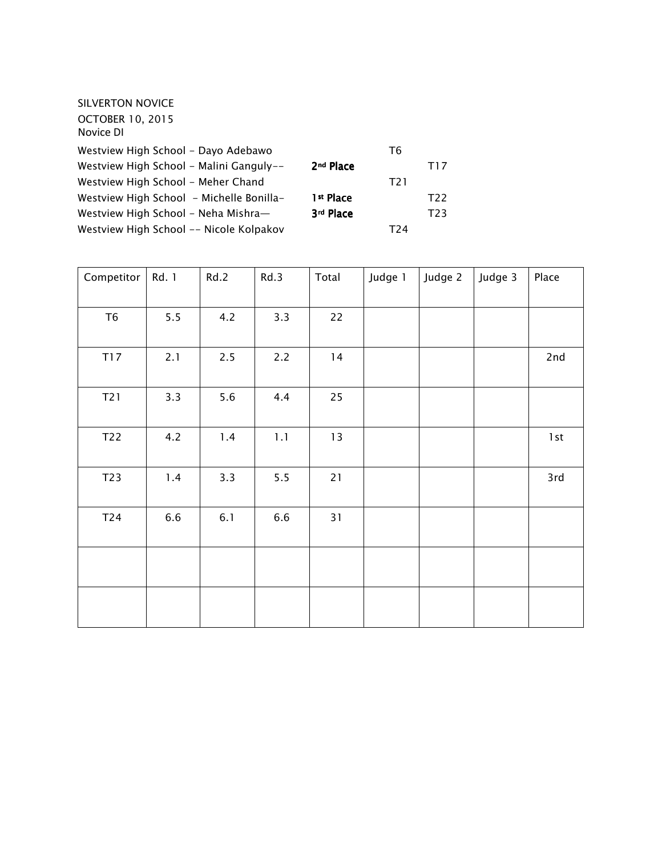| SILVERTON NOVICE                         |                       |                  |      |
|------------------------------------------|-----------------------|------------------|------|
| <b>OCTOBER 10, 2015</b><br>Novice DI     |                       |                  |      |
| Westview High School - Dayo Adebawo      |                       | T6               |      |
| Westview High School - Malini Ganguly--  | 2 <sup>nd</sup> Place |                  | T17  |
| Westview High School - Meher Chand       |                       | T <sub>2</sub> 1 |      |
| Westview High School - Michelle Bonilla- | 1 <sup>st</sup> Place |                  | T22  |
| Westview High School - Neha Mishra-      | 3rd Place             |                  | T23. |
| Westview High School -- Nicole Kolpakov  |                       | T24              |      |

| Competitor     | Rd. 1 | Rd.2 | Rd.3 | Total | Judge 1 | Judge 2 | Judge 3 | Place |
|----------------|-------|------|------|-------|---------|---------|---------|-------|
| T <sub>6</sub> | 5.5   | 4.2  | 3.3  | 22    |         |         |         |       |
| <b>T17</b>     | 2.1   | 2.5  | 2.2  | 14    |         |         |         | 2nd   |
| T21            | 3.3   | 5.6  | 4.4  | 25    |         |         |         |       |
| T22            | 4.2   | 1.4  | 1.1  | 13    |         |         |         | $1st$ |
| T23            | $1.4$ | 3.3  | 5.5  | 21    |         |         |         | 3rd   |
| T24            | 6.6   | 6.1  | 6.6  | 31    |         |         |         |       |
|                |       |      |      |       |         |         |         |       |
|                |       |      |      |       |         |         |         |       |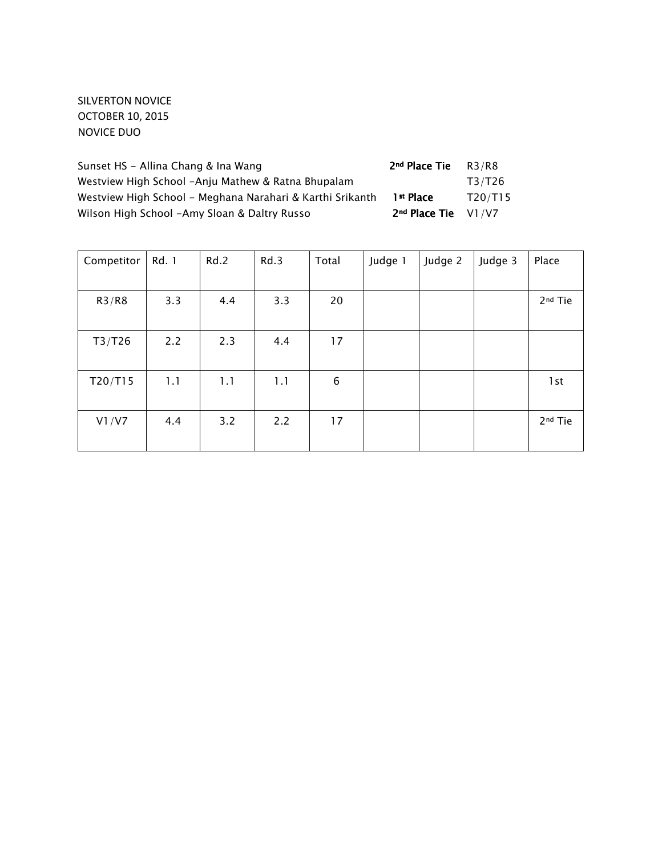## SILVERTON NOVICE OCTOBER 10, 2015 NOVICE DUO

| Sunset HS - Allina Chang & Ina Wang                       | 2 <sup>nd</sup> Place Tie | R3/R8   |
|-----------------------------------------------------------|---------------------------|---------|
| Westview High School -Anju Mathew & Ratna Bhupalam        |                           | T3/T26  |
| Westview High School - Meghana Narahari & Karthi Srikanth | 1 <sup>st</sup> Place     | T20/T15 |
| Wilson High School -Amy Sloan & Daltry Russo              | $2nd$ Place Tie $V1/V7$   |         |

| Competitor | Rd. 1 | Rd.2 | Rd.3 | Total | Judge 1 | Judge 2 | Judge 3 | Place               |
|------------|-------|------|------|-------|---------|---------|---------|---------------------|
|            |       |      |      |       |         |         |         |                     |
| R3/R8      | 3.3   | 4.4  | 3.3  | 20    |         |         |         | 2 <sup>nd</sup> Tie |
|            |       |      |      |       |         |         |         |                     |
| T3/T26     | 2.2   | 2.3  | 4.4  | 17    |         |         |         |                     |
|            |       |      |      |       |         |         |         |                     |
| T20/T15    | 1.1   | 1.1  | 1.1  | 6     |         |         |         | 1st                 |
|            |       |      |      |       |         |         |         |                     |
| VI/V7      | 4.4   | 3.2  | 2.2  | 17    |         |         |         | 2 <sup>nd</sup> Tie |
|            |       |      |      |       |         |         |         |                     |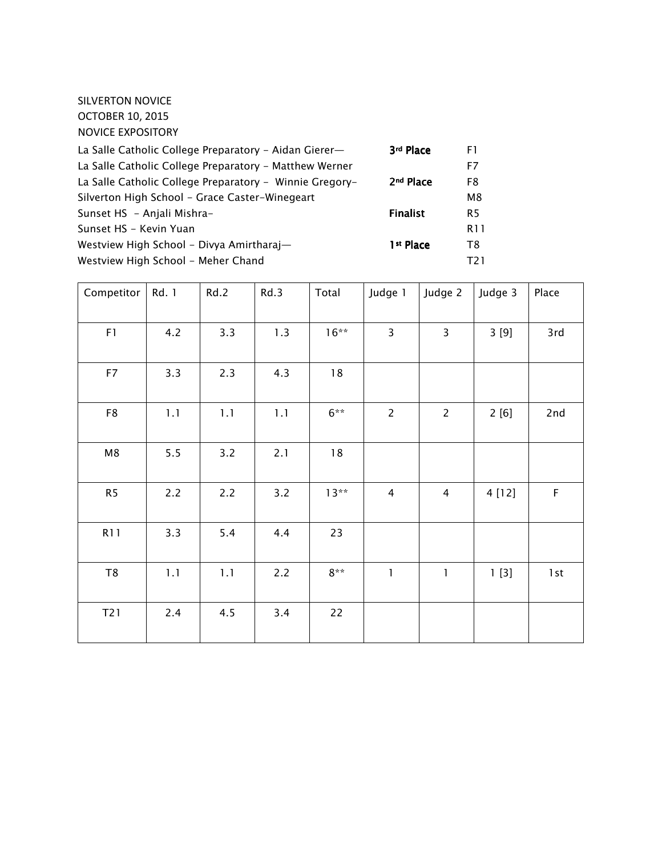SILVERTON NOVICE OCTOBER 10, 2015 NOVICE EXPOSITORY

| La Salle Catholic College Preparatory - Aidan Gierer-   | 3rd Place             | F1.            |
|---------------------------------------------------------|-----------------------|----------------|
| La Salle Catholic College Preparatory - Matthew Werner  |                       | F7             |
| La Salle Catholic College Preparatory - Winnie Gregory- | 2 <sup>nd</sup> Place | F8             |
| Silverton High School - Grace Caster-Winegeart          |                       | M8             |
| Sunset HS - Anjali Mishra-                              | <b>Finalist</b>       | R <sub>5</sub> |
| Sunset HS - Kevin Yuan                                  |                       | R11            |
| Westview High School - Divya Amirtharaj—                | 1 <sup>st</sup> Place | T8             |
| Westview High School - Meher Chand                      |                       | T2 1           |

| Competitor     | Rd. 1 | Rd.2 | Rd.3 | Total   | Judge 1                 | Judge 2        | Judge 3 | Place       |
|----------------|-------|------|------|---------|-------------------------|----------------|---------|-------------|
| F1             | 4.2   | 3.3  | 1.3  | $16***$ | $\overline{\mathbf{3}}$ | $\overline{3}$ | 3 [9]   | 3rd         |
| F7             | 3.3   | 2.3  | 4.3  | 18      |                         |                |         |             |
| F8             | 1.1   | 1.1  | 1.1  | $6***$  | $\overline{2}$          | $\overline{2}$ | 2[6]    | 2nd         |
| M8             | $5.5$ | 3.2  | 2.1  | $18\,$  |                         |                |         |             |
| R <sub>5</sub> | 2.2   | 2.2  | 3.2  | $13**$  | 4                       | $\overline{4}$ | 4 [12]  | $\mathsf F$ |
| <b>R11</b>     | 3.3   | 5.4  | 4.4  | 23      |                         |                |         |             |
| T <sub>8</sub> | 1.1   | 1.1  | 2.2  | $8**$   | 1                       | 1              | 1[3]    | 1st         |
| T21            | 2.4   | 4.5  | 3.4  | 22      |                         |                |         |             |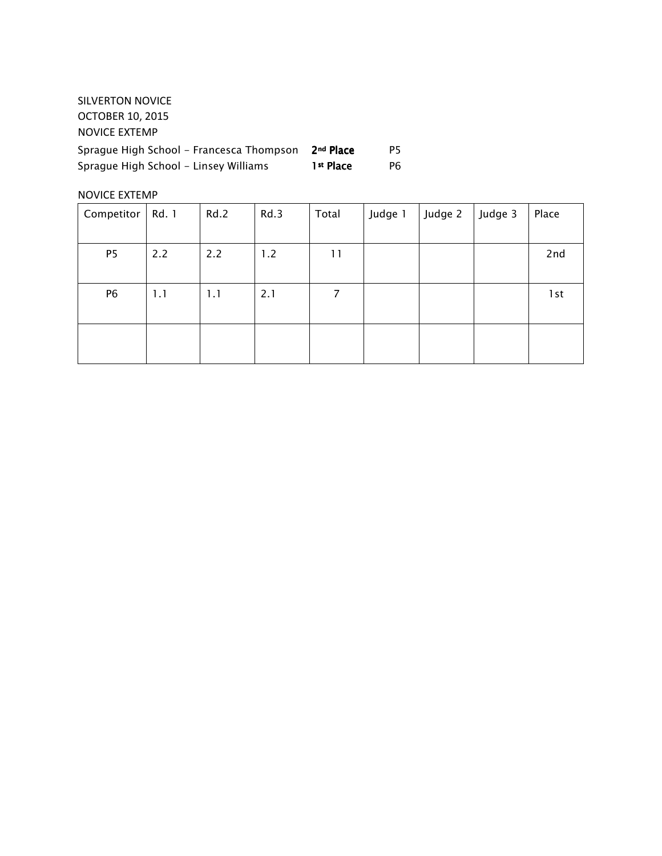| SILVERTON NOVICE                         |                       |    |
|------------------------------------------|-----------------------|----|
| <b>OCTOBER 10, 2015</b>                  |                       |    |
| NOVICE EXTEMP                            |                       |    |
| Sprague High School – Francesca Thompson | 2 <sup>nd</sup> Place | P5 |
| Sprague High School - Linsey Williams    | 1 <sup>st</sup> Place | P6 |

#### NOVICE EXTEMP

| Competitor     | Rd. 1 | Rd.2 | Rd.3 | Total | Judge 1 | Judge 2 | Judge 3 | Place |
|----------------|-------|------|------|-------|---------|---------|---------|-------|
| P <sub>5</sub> | 2.2   | 2.2  | 1.2  | 11    |         |         |         | 2nd   |
|                |       |      |      |       |         |         |         |       |
|                |       |      |      |       |         |         |         |       |
| P <sub>6</sub> | 1.1   | 1.1  | 2.1  | 7     |         |         |         | 1 st  |
|                |       |      |      |       |         |         |         |       |
|                |       |      |      |       |         |         |         |       |
|                |       |      |      |       |         |         |         |       |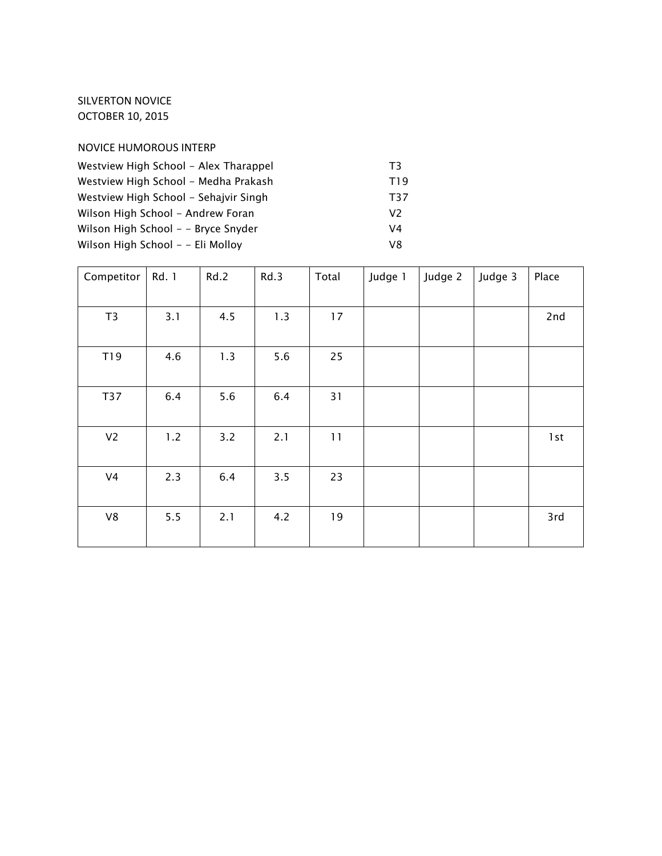### SILVERTON NOVICE OCTOBER 10, 2015

#### NOVICE HUMOROUS INTERP

| Westview High School - Alex Tharappel | T3  |
|---------------------------------------|-----|
| Westview High School - Medha Prakash  | T19 |
| Westview High School - Sehajvir Singh | T37 |
| Wilson High School - Andrew Foran     | V2  |
| Wilson High School - - Bryce Snyder   | V4  |
| Wilson High School - - Eli Molloy     | V8  |

| Competitor     | Rd. 1 | Rd.2 | Rd.3 | Total | Judge 1 | Judge 2 | Judge 3 | Place |
|----------------|-------|------|------|-------|---------|---------|---------|-------|
| T3             | 3.1   | 4.5  | 1.3  | 17    |         |         |         | 2nd   |
| T19            | 4.6   | 1.3  | 5.6  | 25    |         |         |         |       |
| <b>T37</b>     | 6.4   | 5.6  | 6.4  | 31    |         |         |         |       |
| V <sub>2</sub> | 1.2   | 3.2  | 2.1  | 11    |         |         |         | 1st   |
| V <sub>4</sub> | 2.3   | 6.4  | 3.5  | 23    |         |         |         |       |
| ${\vee}{8}$    | 5.5   | 2.1  | 4.2  | 19    |         |         |         | 3rd   |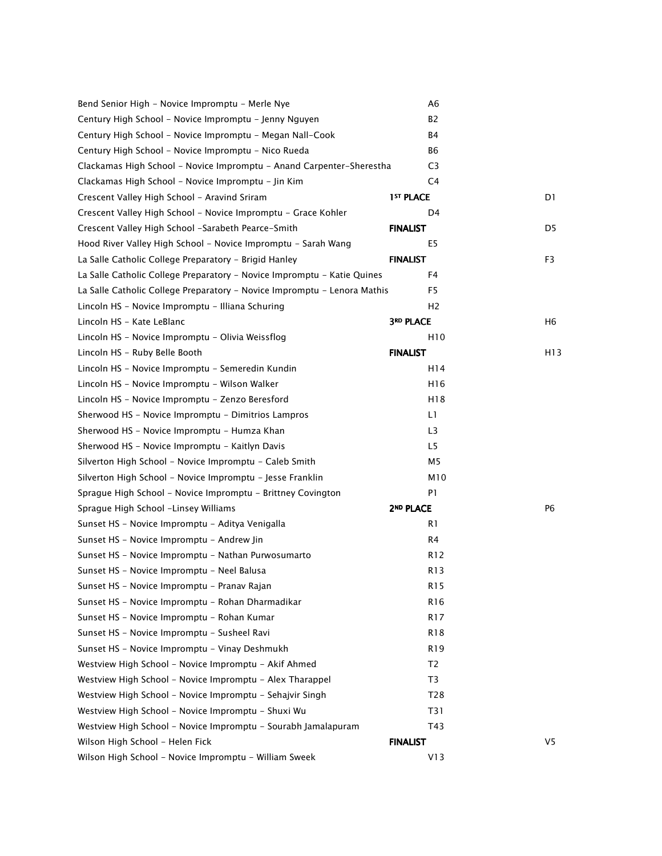| Bend Senior High - Novice Impromptu - Merle Nye                          | A6                    |                |
|--------------------------------------------------------------------------|-----------------------|----------------|
| Century High School - Novice Impromptu - Jenny Nguyen                    | B2                    |                |
| Century High School - Novice Impromptu - Megan Nall-Cook                 | B4                    |                |
| Century High School - Novice Impromptu - Nico Rueda                      | B6                    |                |
| Clackamas High School - Novice Impromptu - Anand Carpenter-Sherestha     | C <sub>3</sub>        |                |
| Clackamas High School - Novice Impromptu - Jin Kim                       | C4                    |                |
| Crescent Valley High School - Aravind Sriram                             | 1 <sup>ST</sup> PLACE | D1             |
| Crescent Valley High School - Novice Impromptu - Grace Kohler            | D <sub>4</sub>        |                |
| Crescent Valley High School -Sarabeth Pearce-Smith                       | <b>FINALIST</b>       | D5             |
| Hood River Valley High School - Novice Impromptu - Sarah Wang            | E5                    |                |
| La Salle Catholic College Preparatory - Brigid Hanley                    | <b>FINALIST</b>       | F <sub>3</sub> |
| La Salle Catholic College Preparatory - Novice Impromptu - Katie Quines  | F4                    |                |
| La Salle Catholic College Preparatory - Novice Impromptu - Lenora Mathis | F5                    |                |
| Lincoln HS - Novice Impromptu - Illiana Schuring                         | H <sub>2</sub>        |                |
| Lincoln HS - Kate LeBlanc                                                | <b>3RD PLACE</b>      | H6             |
| Lincoln HS - Novice Impromptu - Olivia Weissflog                         | H <sub>10</sub>       |                |
| Lincoln HS - Ruby Belle Booth                                            | <b>FINALIST</b>       | H13            |
| Lincoln HS - Novice Impromptu - Semeredin Kundin                         | H14                   |                |
| Lincoln HS - Novice Impromptu - Wilson Walker                            | H16                   |                |
| Lincoln HS - Novice Impromptu - Zenzo Beresford                          | H18                   |                |
| Sherwood HS - Novice Impromptu - Dimitrios Lampros                       | L1                    |                |
| Sherwood HS - Novice Impromptu - Humza Khan                              | L3                    |                |
| Sherwood HS - Novice Impromptu - Kaitlyn Davis                           | L <sub>5</sub>        |                |
| Silverton High School - Novice Impromptu - Caleb Smith                   | M5                    |                |
| Silverton High School - Novice Impromptu - Jesse Franklin                | M10                   |                |
| Sprague High School - Novice Impromptu - Brittney Covington              | P <sub>1</sub>        |                |
| Sprague High School -Linsey Williams                                     | 2 <sup>ND</sup> PLACE | P <sub>6</sub> |
| Sunset HS - Novice Impromptu - Aditya Venigalla                          | R1                    |                |
| Sunset HS - Novice Impromptu - Andrew Jin                                | R4                    |                |
| Sunset HS - Novice Impromptu - Nathan Purwosumarto                       | R <sub>12</sub>       |                |
| Sunset HS - Novice Impromptu - Neel Balusa                               | R <sub>13</sub>       |                |
| Sunset HS - Novice Impromptu - Pranav Rajan                              | R <sub>15</sub>       |                |
| Sunset HS - Novice Impromptu - Rohan Dharmadikar                         | R16                   |                |
| Sunset HS - Novice Impromptu - Rohan Kumar                               | R17                   |                |
| Sunset HS - Novice Impromptu - Susheel Ravi                              | R18                   |                |
| Sunset HS - Novice Impromptu - Vinay Deshmukh                            | R <sub>19</sub>       |                |
| Westview High School - Novice Impromptu - Akif Ahmed                     | T2                    |                |
| Westview High School - Novice Impromptu - Alex Tharappel                 | T3                    |                |
| Westview High School - Novice Impromptu - Sehajvir Singh                 | T28                   |                |
| Westview High School - Novice Impromptu - Shuxi Wu                       | T31                   |                |
| Westview High School - Novice Impromptu - Sourabh Jamalapuram            | T43                   |                |
| Wilson High School - Helen Fick                                          | <b>FINALIST</b>       | V <sub>5</sub> |
| Wilson High School - Novice Impromptu - William Sweek                    | V13                   |                |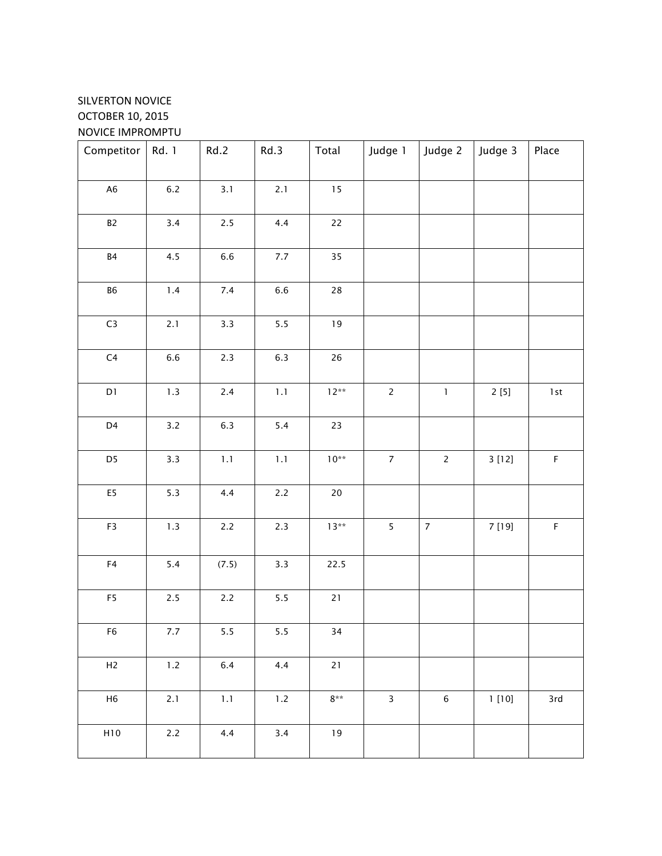# SILVERTON NOVICE OCTOBER 10, 2015 NOVICE IMPROMPTU

| Competitor                 | Rd. 1   | Rd.2    | Rd.3    | Total            | Judge 1                 | Judge 2        | Judge 3 | Place            |
|----------------------------|---------|---------|---------|------------------|-------------------------|----------------|---------|------------------|
| A <sub>6</sub>             | $6.2\,$ | 3.1     | 2.1     | $15\,$           |                         |                |         |                  |
| $\mathsf{B2}$              | 3.4     | $2.5$   | 4.4     | 22               |                         |                |         |                  |
| $\ensuremath{\mathsf{B4}}$ | 4.5     | $6.6\,$ | $7.7\,$ | 35               |                         |                |         |                  |
| ${\sf B6}$                 | $1.4$   | $7.4\,$ | $6.6\,$ | $28\,$           |                         |                |         |                  |
| $\mathsf{C}3$              | $2.1$   | 3.3     | $5.5\,$ | $19$             |                         |                |         |                  |
| C <sub>4</sub>             | $6.6\,$ | 2.3     | $6.3\,$ | $26\,$           |                         |                |         |                  |
| $\mathsf{D}1$              | $1.3\,$ | $2.4\,$ | $1.1\,$ | $12**$           | $\overline{2}$          | $\mathbf 1$    | 2[5]    | $1\,\mathrm{st}$ |
| D4                         | $3.2$   | $6.3\,$ | $5.4$   | 23               |                         |                |         |                  |
| D <sub>5</sub>             | 3.3     | $1.1\,$ | $1.1$   | $10^{**}$        | $\overline{7}$          | $\overline{2}$ | 3[12]   | $\mathsf F$      |
| E5                         | $5.3$   | 4.4     | $2.2\,$ | $20\,$           |                         |                |         |                  |
| F3                         | $1.3$   | $2.2\,$ | $2.3$   | $13**$           | 5                       | $\overline{7}$ | 7 [19]  | $\mathsf F$      |
| ${\sf F4}$                 | $5.4$   | (7.5)   | 3.3     | 22.5             |                         |                |         |                  |
| F5                         | $2.5\,$ | $2.2\,$ | $5.5\,$ | $21\,$           |                         |                |         |                  |
| F6                         | 7.7     | 5.5     | 5.5     | 34               |                         |                |         |                  |
| H2                         | $1.2\,$ | $6.4\,$ | 4.4     | $21$             |                         |                |         |                  |
| H <sub>6</sub>             | 2.1     | $1.1\,$ | $1.2\,$ | $8^{\star\star}$ | $\overline{\mathbf{3}}$ | $\,6\,$        | 1[10]   | 3rd              |
| H10                        | $2.2\,$ | 4.4     | 3.4     | $19$             |                         |                |         |                  |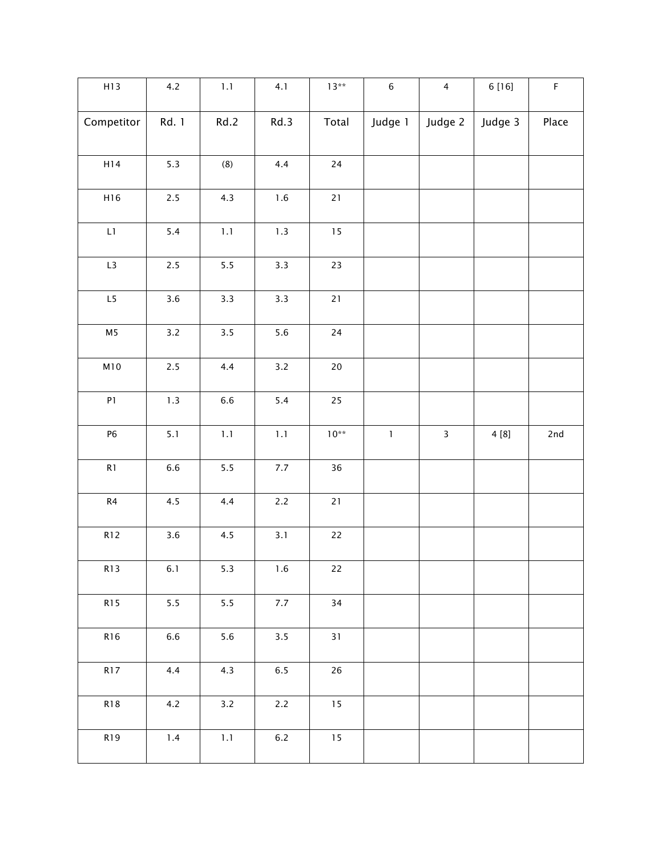| H13            | 4.2     | $1.1\,$          | 4.1     | $13**$    | $\,$ 6 $\,$ | $\overline{4}$ | 6 [16]  | $\mathsf F$ |
|----------------|---------|------------------|---------|-----------|-------------|----------------|---------|-------------|
| Competitor     | Rd. 1   | Rd.2             | Rd.3    | Total     | Judge 1     | Judge 2        | Judge 3 | Place       |
| H14            | $5.3$   | $\left(8\right)$ | 4.4     | $24\,$    |             |                |         |             |
| H16            | $2.5$   | 4.3              | $1.6\,$ | $21$      |             |                |         |             |
| L1             | $5.4$   | $1.1\,$          | $1.3\,$ | $15\,$    |             |                |         |             |
| L3             | $2.5\,$ | $5.5\,$          | 3.3     | $23\,$    |             |                |         |             |
| L5             | $3.6\,$ | 3.3              | 3.3     | $21$      |             |                |         |             |
| M <sub>5</sub> | $3.2$   | $3.5\,$          | 5.6     | $24\,$    |             |                |         |             |
| M10            | $2.5$   | 4.4              | $3.2$   | $20\,$    |             |                |         |             |
| ${\sf P1}$     | 1.3     | $6.6\,$          | $5.4$   | 25        |             |                |         |             |
| ${\sf P6}$     | 5.1     | $1.1\,$          | $1.1\,$ | $10^{**}$ | $\mathbf 1$ | $\mathsf{3}$   | 4 [8]   | 2nd         |
| R1             | $6.6\,$ | $5.5$            | $7.7\,$ | 36        |             |                |         |             |
| $\mathsf{R}4$  | 4.5     | 4.4              | $2.2\,$ | $21$      |             |                |         |             |
| <b>R12</b>     | $3.6\,$ | $4.5\,$          | 3.1     | $22\,$    |             |                |         |             |
| <b>R13</b>     | 6.1     | $5.3$            | $1.6\,$ | $22\,$    |             |                |         |             |
| <b>R15</b>     | $5.5$   | $5.5$            | $7.7\,$ | 34        |             |                |         |             |
| R16            | $6.6\,$ | 5.6              | 3.5     | 31        |             |                |         |             |
| <b>R17</b>     | 4.4     | 4.3              | $6.5\,$ | 26        |             |                |         |             |
| <b>R18</b>     | 4.2     | $3.2$            | $2.2\,$ | $15$      |             |                |         |             |
| R19            | $1.4$   | $1.1\,$          | $6.2\,$ | $15$      |             |                |         |             |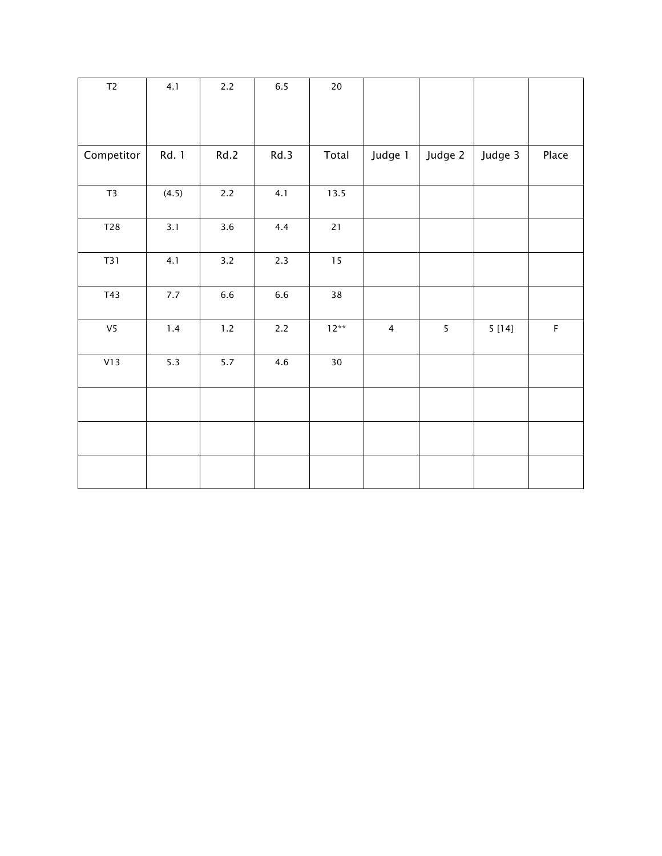| $\mathsf{T2}$  | 4.1   | $2.2$   | $6.5\,$ | $20\,$ |                |         |         |             |
|----------------|-------|---------|---------|--------|----------------|---------|---------|-------------|
|                |       |         |         |        |                |         |         |             |
| Competitor     | Rd. 1 | Rd.2    | Rd.3    | Total  | Judge 1        | Judge 2 | Judge 3 | Place       |
| $\mathsf{T}3$  | (4.5) | $2.2$   | 4.1     | 13.5   |                |         |         |             |
| T28            | 3.1   | 3.6     | 4.4     | $21$   |                |         |         |             |
| T31            | 4.1   | $3.2$   | 2.3     | $15\,$ |                |         |         |             |
| T43            | 7.7   | $6.6\,$ | $6.6\,$ | $38\,$ |                |         |         |             |
| V <sub>5</sub> | $1.4$ | $1.2\,$ | $2.2\,$ | $12**$ | $\overline{4}$ | 5       | 5[14]   | $\mathsf F$ |
| V13            | $5.3$ | $5.7$   | 4.6     | $30\,$ |                |         |         |             |
|                |       |         |         |        |                |         |         |             |
|                |       |         |         |        |                |         |         |             |
|                |       |         |         |        |                |         |         |             |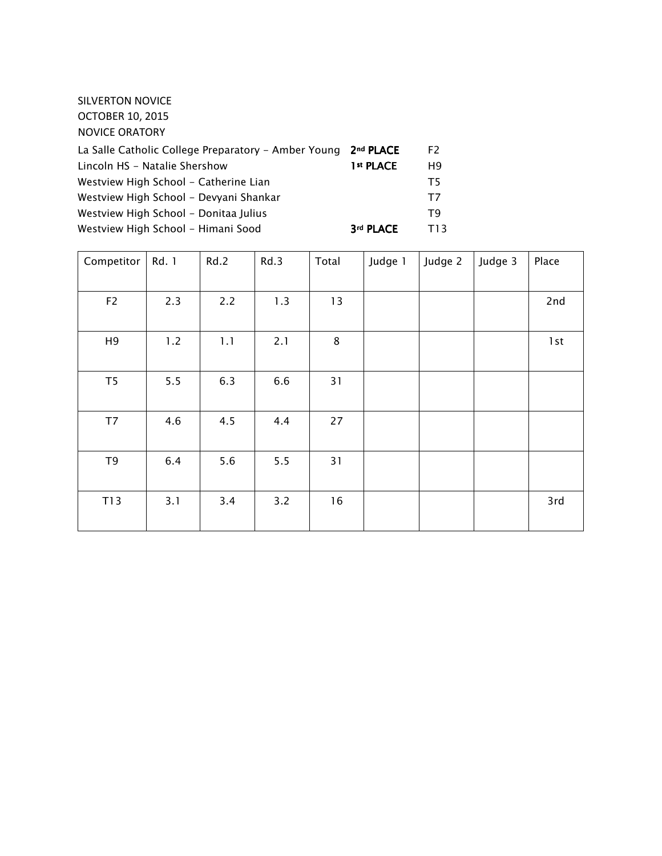| SILVERTON NOVICE<br><b>OCTOBER 10, 2015</b><br><b>NOVICE ORATORY</b> |                       |                |
|----------------------------------------------------------------------|-----------------------|----------------|
| La Salle Catholic College Preparatory - Amber Young                  | 2 <sup>nd</sup> PLACE | F2             |
| Lincoln HS - Natalie Shershow                                        | 1 <sup>st</sup> PLACE | H <sub>9</sub> |
| Westview High School - Catherine Lian                                |                       | T <sub>5</sub> |
| Westview High School - Devyani Shankar                               |                       | T7             |
| Westview High School - Donitaa Julius                                |                       | T <sub>9</sub> |
| Westview High School - Himani Sood                                   | 3rd PLACE             | T13            |

| Competitor     | Rd. 1 | Rd.2 | Rd.3 | Total | Judge 1 | Judge 2 | Judge 3 | Place |
|----------------|-------|------|------|-------|---------|---------|---------|-------|
| F <sub>2</sub> | 2.3   | 2.2  | 1.3  | 13    |         |         |         | 2nd   |
| H <sub>9</sub> | 1.2   | 1.1  | 2.1  | 8     |         |         |         | 1st   |
| T5             | 5.5   | 6.3  | 6.6  | 31    |         |         |         |       |
| T7             | 4.6   | 4.5  | 4.4  | 27    |         |         |         |       |
| T <sub>9</sub> | 6.4   | 5.6  | 5.5  | 31    |         |         |         |       |
| T13            | 3.1   | 3.4  | 3.2  | 16    |         |         |         | 3rd   |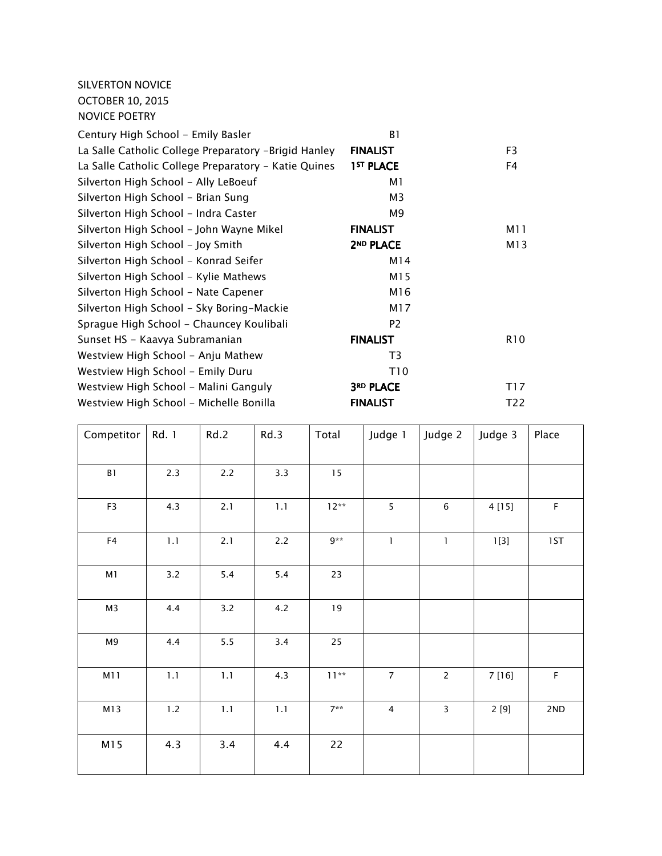SILVERTON NOVICE OCTOBER 10, 2015 NOVICE POETRY

| Century High School - Emily Basler                   | B1                    |                 |
|------------------------------------------------------|-----------------------|-----------------|
| La Salle Catholic College Preparatory -Brigid Hanley | <b>FINALIST</b>       | F <sub>3</sub>  |
| La Salle Catholic College Preparatory - Katie Quines | 1 <sup>ST</sup> PLACE | F4              |
| Silverton High School - Ally LeBoeuf                 | M1                    |                 |
| Silverton High School - Brian Sung                   | M3                    |                 |
| Silverton High School - Indra Caster                 | M9                    |                 |
| Silverton High School - John Wayne Mikel             | <b>FINALIST</b>       | M11             |
| Silverton High School - Joy Smith                    | 2 <sup>ND</sup> PLACE | M13             |
| Silverton High School - Konrad Seifer                | M14                   |                 |
| Silverton High School - Kylie Mathews                | M15                   |                 |
| Silverton High School - Nate Capener                 | M16                   |                 |
| Silverton High School - Sky Boring-Mackie            | M17                   |                 |
| Sprague High School - Chauncey Koulibali             | P <sub>2</sub>        |                 |
| Sunset HS - Kaavya Subramanian                       | <b>FINALIST</b>       | R <sub>10</sub> |
| Westview High School - Anju Mathew                   | T <sub>3</sub>        |                 |
| Westview High School - Emily Duru                    | T10                   |                 |
| Westview High School - Malini Ganguly                | 3RD PLACE             | T17             |
| Westview High School - Michelle Bonilla              | <b>FINALIST</b>       | T22             |

| Competitor     | Rd. 1   | Rd.2    | Rd.3    | Total   | Judge 1                 | Judge 2        | Judge 3 | Place       |
|----------------|---------|---------|---------|---------|-------------------------|----------------|---------|-------------|
| $\mathsf B1$   | 2.3     | $2.2\,$ | 3.3     | 15      |                         |                |         |             |
| F3             | 4.3     | 2.1     | $1.1\,$ | $12**$  | 5                       | $\,6\,$        | 4 [15]  | $\mathsf F$ |
| ${\sf F4}$     | $1.1\,$ | 2.1     | 2.2     | $9**$   | $\mathbf{1}$            | $\mathbf{I}$   | 1[3]    | 1ST         |
| M1             | 3.2     | 5.4     | 5.4     | 23      |                         |                |         |             |
| M <sub>3</sub> | 4.4     | 3.2     | 4.2     | 19      |                         |                |         |             |
| M9             | 4.4     | $5.5$   | 3.4     | 25      |                         |                |         |             |
| M11            | $1.1\,$ | 1.1     | 4.3     | $11***$ | $\boldsymbol{7}$        | $\overline{c}$ | 7 [16]  | $\mathsf F$ |
| M13            | $1.2\,$ | $1.1$   | $1.1\,$ | $7**$   | $\overline{\mathbf{4}}$ | 3              | 2[9]    | 2ND         |
| M15            | 4.3     | 3.4     | 4.4     | 22      |                         |                |         |             |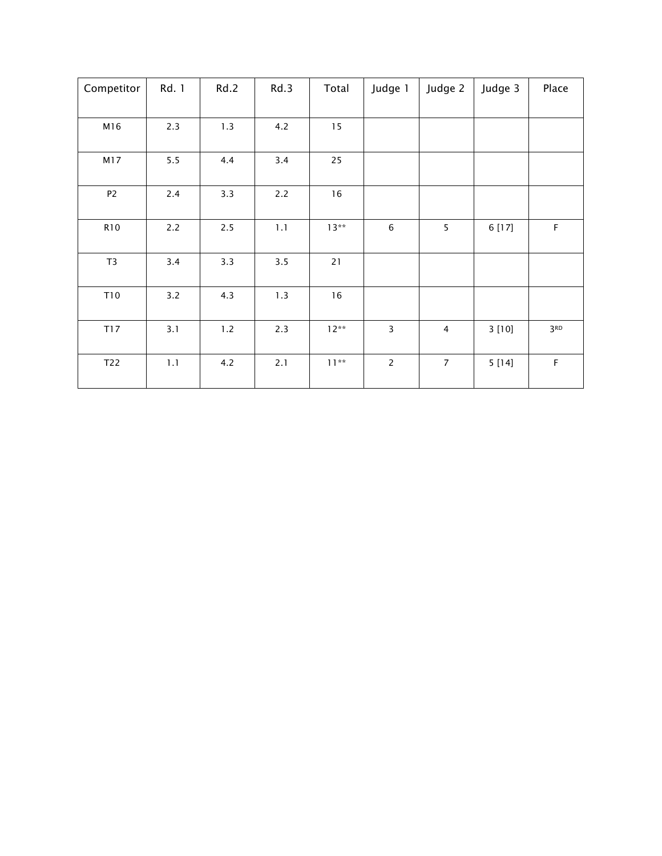| Competitor     | Rd. 1 | Rd.2  | Rd.3 | Total  | Judge 1        | Judge 2        | Judge 3 | Place           |
|----------------|-------|-------|------|--------|----------------|----------------|---------|-----------------|
|                |       |       |      |        |                |                |         |                 |
| M16            | 2.3   | 1.3   | 4.2  | 15     |                |                |         |                 |
| M17            | $5.5$ | 4.4   | 3.4  | 25     |                |                |         |                 |
| P <sub>2</sub> | 2.4   | 3.3   | 2.2  | 16     |                |                |         |                 |
| <b>R10</b>     | 2.2   | 2.5   | 1.1  | $13**$ | 6              | 5              | 6 [17]  | $\mathsf F$     |
| T <sub>3</sub> | 3.4   | 3.3   | 3.5  | $21$   |                |                |         |                 |
| T10            | 3.2   | 4.3   | 1.3  | $16$   |                |                |         |                 |
| T17            | 3.1   | $1.2$ | 2.3  | $12**$ | 3              | 4              | 3[10]   | 3 <sub>RD</sub> |
| T22            | 1.1   | 4.2   | 2.1  | $11**$ | $\overline{c}$ | $\overline{7}$ | 5[14]   | $\mathsf F$     |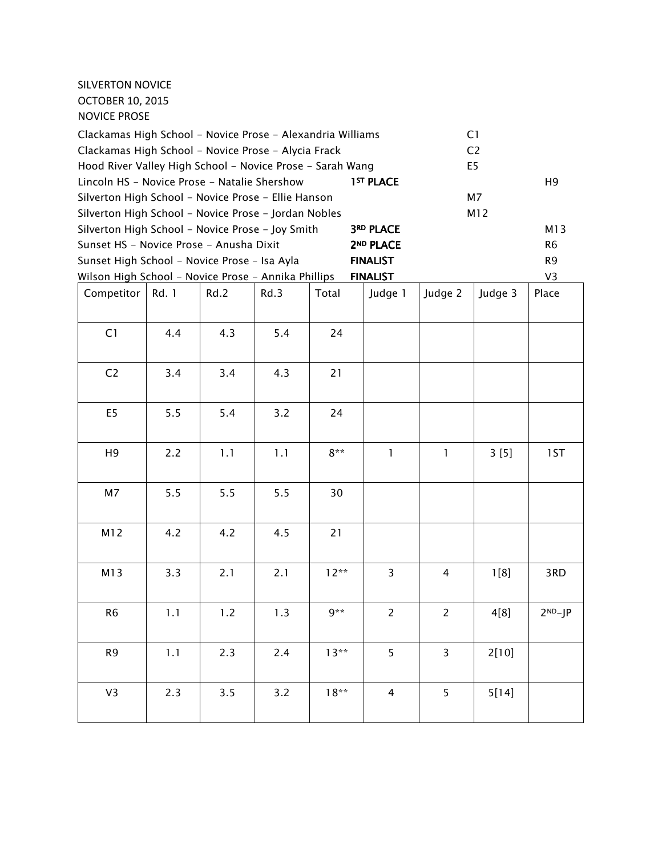## SILVERTON NOVICE OCTOBER 10, 2015 NOVICE PROSE

| Clackamas High School - Novice Prose - Alexandria Williams      |       |      |      | C1      |                       |                |                |                |  |
|-----------------------------------------------------------------|-------|------|------|---------|-----------------------|----------------|----------------|----------------|--|
| Clackamas High School - Novice Prose - Alycia Frack             |       |      |      |         |                       | C <sub>2</sub> |                |                |  |
| Hood River Valley High School - Novice Prose - Sarah Wang       |       |      |      |         |                       |                | E <sub>5</sub> |                |  |
| Lincoln HS - Novice Prose - Natalie Shershow                    |       |      |      |         | 1 <sup>ST</sup> PLACE |                |                | H <sub>9</sub> |  |
| Silverton High School - Novice Prose - Ellie Hanson             |       |      |      |         |                       |                | M7             |                |  |
| Silverton High School - Novice Prose - Jordan Nobles            |       |      |      |         |                       |                | M12            |                |  |
| Silverton High School - Novice Prose - Joy Smith                |       |      |      |         | <b>3RD PLACE</b>      |                |                | M13            |  |
| Sunset HS - Novice Prose - Anusha Dixit                         |       |      |      |         | 2 <sup>ND</sup> PLACE |                |                | R <sub>6</sub> |  |
| Sunset High School - Novice Prose - Isa Ayla<br><b>FINALIST</b> |       |      |      |         |                       |                | R <sub>9</sub> |                |  |
| Wilson High School - Novice Prose - Annika Phillips             |       |      |      |         | <b>FINALIST</b>       |                |                | V <sub>3</sub> |  |
| Competitor                                                      | Rd. 1 | Rd.2 | Rd.3 | Total   | Judge 1               | Judge 2        | Judge 3        | Place          |  |
|                                                                 |       |      |      |         |                       |                |                |                |  |
| C1                                                              | 4.4   | 4.3  | 5.4  | 24      |                       |                |                |                |  |
|                                                                 |       |      |      |         |                       |                |                |                |  |
|                                                                 |       |      |      |         |                       |                |                |                |  |
| C <sub>2</sub>                                                  | 3.4   | 3.4  | 4.3  | 21      |                       |                |                |                |  |
|                                                                 |       |      |      |         |                       |                |                |                |  |
| E <sub>5</sub>                                                  | 5.5   | 5.4  | 3.2  | 24      |                       |                |                |                |  |
|                                                                 |       |      |      |         |                       |                |                |                |  |
| H <sub>9</sub>                                                  | 2.2   | 1.1  | 1.1  | $8**$   | 1                     | $\mathbf{1}$   | 3[5]           | 1ST            |  |
|                                                                 |       |      |      |         |                       |                |                |                |  |
|                                                                 |       |      |      |         |                       |                |                |                |  |
| M7                                                              | 5.5   | 5.5  | 5.5  | 30      |                       |                |                |                |  |
|                                                                 |       |      |      |         |                       |                |                |                |  |
| M12                                                             | 4.2   | 4.2  | 4.5  | 21      |                       |                |                |                |  |
|                                                                 |       |      |      |         |                       |                |                |                |  |
|                                                                 | 3.3   | 2.1  |      | $12**$  | 3                     | $\overline{4}$ |                | 3RD            |  |
| M13                                                             |       |      | 2.1  |         |                       |                | 1[8]           |                |  |
|                                                                 |       |      |      |         |                       |                |                |                |  |
| R <sub>6</sub>                                                  | 1.1   | 1.2  | 1.3  | $9**$   | $\overline{c}$        | $\overline{c}$ | 4[8]           | $2ND-JP$       |  |
|                                                                 |       |      |      |         |                       |                |                |                |  |
| R <sub>9</sub>                                                  | 1.1   | 2.3  | 2.4  | $13***$ | 5                     | 3              | 2[10]          |                |  |
|                                                                 |       |      |      |         |                       |                |                |                |  |
|                                                                 |       |      |      |         |                       |                |                |                |  |
| V3                                                              | 2.3   | 3.5  | 3.2  | $18**$  | 4                     | 5              | 5[14]          |                |  |
|                                                                 |       |      |      |         |                       |                |                |                |  |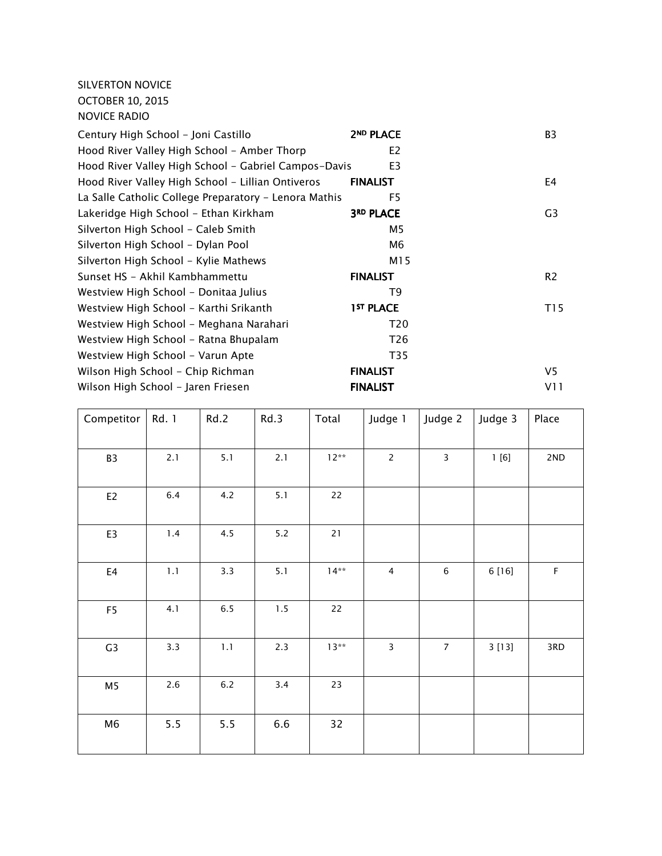SILVERTON NOVICE OCTOBER 10, 2015 NOVICE RADIO

| 2ND PLACE                                                  | B3             |
|------------------------------------------------------------|----------------|
| E <sub>2</sub>                                             |                |
| Hood River Valley High School - Gabriel Campos-Davis<br>E3 |                |
| <b>FINALIST</b>                                            | E4             |
| F <sub>5</sub>                                             |                |
| <b>3RD PLACE</b>                                           | G3             |
| M <sub>5</sub>                                             |                |
| M6                                                         |                |
| M15                                                        |                |
| <b>FINALIST</b>                                            | R <sub>2</sub> |
| T <sub>9</sub>                                             |                |
| 1 <sup>ST</sup> PLACE                                      | T15            |
| T20                                                        |                |
| T <sub>26</sub>                                            |                |
| T35                                                        |                |
| <b>FINALIST</b>                                            | V5             |
| <b>FINALIST</b>                                            | V11            |
|                                                            |                |

| Competitor     | Rd. 1   | Rd.2    | Rd.3    | Total  | Judge 1                 | Judge 2        | Judge 3 | Place       |
|----------------|---------|---------|---------|--------|-------------------------|----------------|---------|-------------|
| B <sub>3</sub> | 2.1     | 5.1     | 2.1     | $12**$ | $\overline{2}$          | $\mathsf 3$    | 1[6]    | 2ND         |
| E <sub>2</sub> | $6.4\,$ | 4.2     | 5.1     | 22     |                         |                |         |             |
| E3             | 1.4     | 4.5     | $5.2$   | $21$   |                         |                |         |             |
| $\mathsf{E}4$  | $1.1\,$ | 3.3     | 5.1     | $14**$ | $\overline{\mathbf{4}}$ | $\,6\,$        | 6 [16]  | $\mathsf F$ |
| F <sub>5</sub> | 4.1     | $6.5\,$ | $1.5\,$ | 22     |                         |                |         |             |
| G <sub>3</sub> | 3.3     | $1.1\,$ | 2.3     | $13**$ | 3                       | $\overline{7}$ | 3[13]   | 3RD         |
| M <sub>5</sub> | $2.6\,$ | $6.2\,$ | 3.4     | 23     |                         |                |         |             |
| M <sub>6</sub> | 5.5     | 5.5     | 6.6     | 32     |                         |                |         |             |